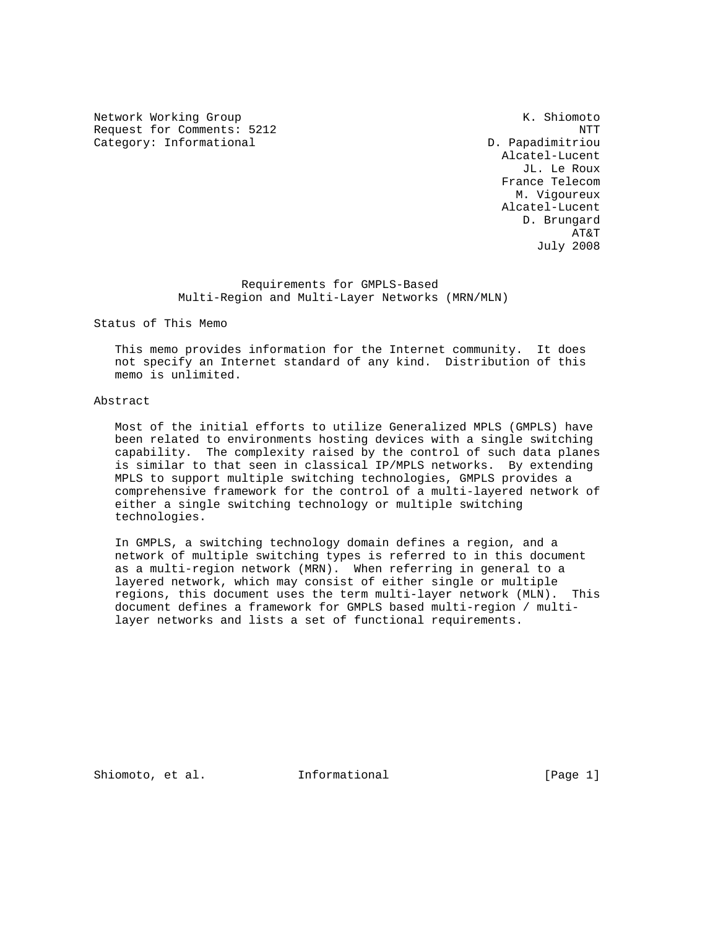Network Working Group Network Working Group Network Channels and Muslim Network Channels At America Channels A Request for Comments: 5212 NTT Category: Informational D. Papadimitriou

 Alcatel-Lucent JL. Le Roux France Telecom M. Vigoureux Alcatel-Lucent D. Brungard AT&T July 2008

> Requirements for GMPLS-Based Multi-Region and Multi-Layer Networks (MRN/MLN)

Status of This Memo

 This memo provides information for the Internet community. It does not specify an Internet standard of any kind. Distribution of this memo is unlimited.

# Abstract

 Most of the initial efforts to utilize Generalized MPLS (GMPLS) have been related to environments hosting devices with a single switching capability. The complexity raised by the control of such data planes is similar to that seen in classical IP/MPLS networks. By extending MPLS to support multiple switching technologies, GMPLS provides a comprehensive framework for the control of a multi-layered network of either a single switching technology or multiple switching technologies.

 In GMPLS, a switching technology domain defines a region, and a network of multiple switching types is referred to in this document as a multi-region network (MRN). When referring in general to a layered network, which may consist of either single or multiple regions, this document uses the term multi-layer network (MLN). This document defines a framework for GMPLS based multi-region / multi layer networks and lists a set of functional requirements.

Shiomoto, et al. **Informational** [Page 1]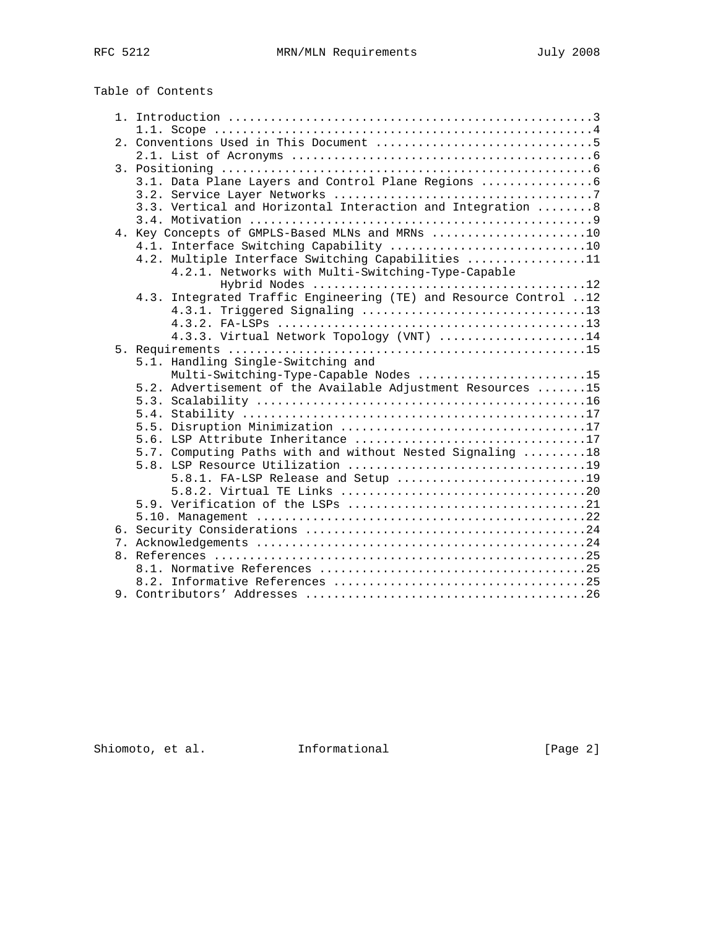Table of Contents

|  | 3.1. Data Plane Layers and Control Plane Regions                                               |
|--|------------------------------------------------------------------------------------------------|
|  |                                                                                                |
|  | 3.3. Vertical and Horizontal Interaction and Integration 8                                     |
|  |                                                                                                |
|  | 4. Key Concepts of GMPLS-Based MLNs and MRNs 10                                                |
|  | 4.1. Interface Switching Capability 10                                                         |
|  | 4.2. Multiple Interface Switching Capabilities 11                                              |
|  | 4.2.1. Networks with Multi-Switching-Type-Capable                                              |
|  |                                                                                                |
|  | 4.3. Integrated Traffic Engineering (TE) and Resource Control 12                               |
|  |                                                                                                |
|  |                                                                                                |
|  | 4.3.3. Virtual Network Topology (VNT) 14                                                       |
|  |                                                                                                |
|  | 5.1. Handling Single-Switching and                                                             |
|  | Multi-Switching-Type-Capable Nodes 15                                                          |
|  | 5.2. Advertisement of the Available Adjustment Resources 15                                    |
|  |                                                                                                |
|  |                                                                                                |
|  |                                                                                                |
|  | 5.6. LSP Attribute Inheritance 17<br>5.7. Computing Paths with and without Nested Signaling 18 |
|  |                                                                                                |
|  |                                                                                                |
|  |                                                                                                |
|  |                                                                                                |
|  |                                                                                                |
|  |                                                                                                |
|  |                                                                                                |
|  |                                                                                                |
|  |                                                                                                |
|  |                                                                                                |
|  |                                                                                                |
|  |                                                                                                |

Shiomoto, et al. 1nformational [Page 2]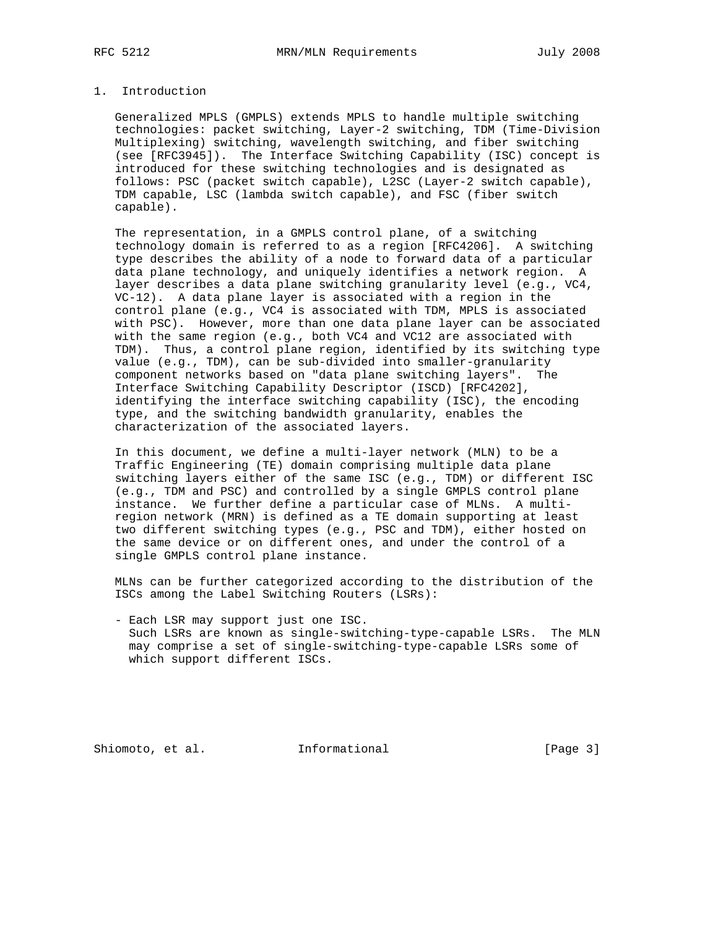# 1. Introduction

 Generalized MPLS (GMPLS) extends MPLS to handle multiple switching technologies: packet switching, Layer-2 switching, TDM (Time-Division Multiplexing) switching, wavelength switching, and fiber switching (see [RFC3945]). The Interface Switching Capability (ISC) concept is introduced for these switching technologies and is designated as follows: PSC (packet switch capable), L2SC (Layer-2 switch capable), TDM capable, LSC (lambda switch capable), and FSC (fiber switch capable).

 The representation, in a GMPLS control plane, of a switching technology domain is referred to as a region [RFC4206]. A switching type describes the ability of a node to forward data of a particular data plane technology, and uniquely identifies a network region. A layer describes a data plane switching granularity level (e.g., VC4, VC-12). A data plane layer is associated with a region in the control plane (e.g., VC4 is associated with TDM, MPLS is associated with PSC). However, more than one data plane layer can be associated with the same region (e.g., both VC4 and VC12 are associated with TDM). Thus, a control plane region, identified by its switching type value (e.g., TDM), can be sub-divided into smaller-granularity component networks based on "data plane switching layers". The Interface Switching Capability Descriptor (ISCD) [RFC4202], identifying the interface switching capability (ISC), the encoding type, and the switching bandwidth granularity, enables the characterization of the associated layers.

 In this document, we define a multi-layer network (MLN) to be a Traffic Engineering (TE) domain comprising multiple data plane switching layers either of the same ISC (e.g., TDM) or different ISC (e.g., TDM and PSC) and controlled by a single GMPLS control plane instance. We further define a particular case of MLNs. A multi region network (MRN) is defined as a TE domain supporting at least two different switching types (e.g., PSC and TDM), either hosted on the same device or on different ones, and under the control of a single GMPLS control plane instance.

 MLNs can be further categorized according to the distribution of the ISCs among the Label Switching Routers (LSRs):

 - Each LSR may support just one ISC. Such LSRs are known as single-switching-type-capable LSRs. The MLN may comprise a set of single-switching-type-capable LSRs some of which support different ISCs.

Shiomoto, et al. 1nformational 1999 [Page 3]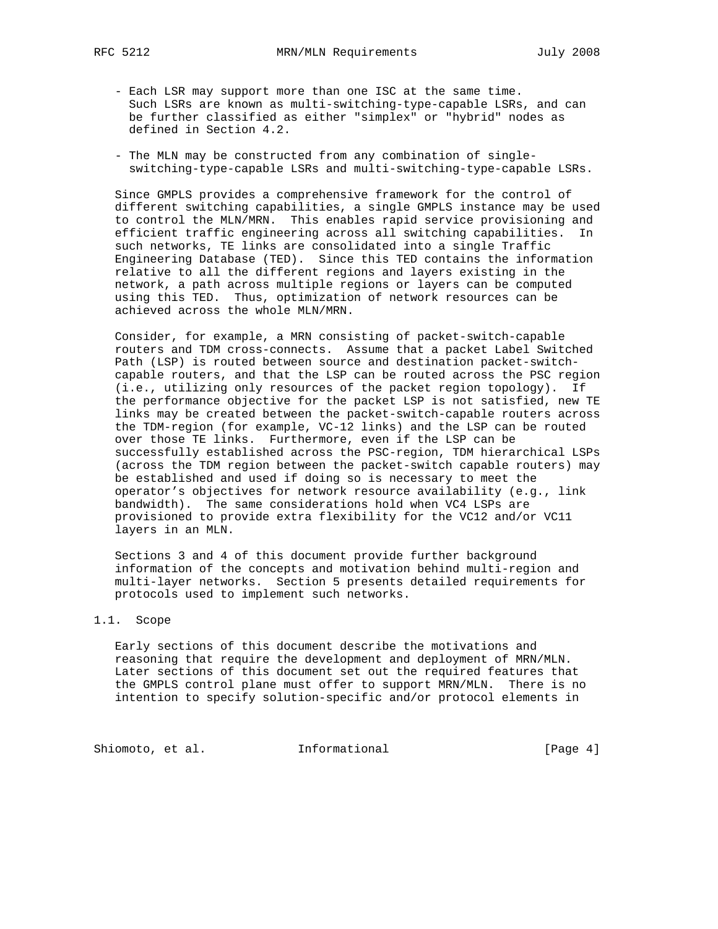- Each LSR may support more than one ISC at the same time. Such LSRs are known as multi-switching-type-capable LSRs, and can be further classified as either "simplex" or "hybrid" nodes as defined in Section 4.2.
- The MLN may be constructed from any combination of single switching-type-capable LSRs and multi-switching-type-capable LSRs.

 Since GMPLS provides a comprehensive framework for the control of different switching capabilities, a single GMPLS instance may be used to control the MLN/MRN. This enables rapid service provisioning and efficient traffic engineering across all switching capabilities. In such networks, TE links are consolidated into a single Traffic Engineering Database (TED). Since this TED contains the information relative to all the different regions and layers existing in the network, a path across multiple regions or layers can be computed using this TED. Thus, optimization of network resources can be achieved across the whole MLN/MRN.

 Consider, for example, a MRN consisting of packet-switch-capable routers and TDM cross-connects. Assume that a packet Label Switched Path (LSP) is routed between source and destination packet-switch capable routers, and that the LSP can be routed across the PSC region (i.e., utilizing only resources of the packet region topology). If the performance objective for the packet LSP is not satisfied, new TE links may be created between the packet-switch-capable routers across the TDM-region (for example, VC-12 links) and the LSP can be routed over those TE links. Furthermore, even if the LSP can be successfully established across the PSC-region, TDM hierarchical LSPs (across the TDM region between the packet-switch capable routers) may be established and used if doing so is necessary to meet the operator's objectives for network resource availability (e.g., link bandwidth). The same considerations hold when VC4 LSPs are provisioned to provide extra flexibility for the VC12 and/or VC11 layers in an MLN.

 Sections 3 and 4 of this document provide further background information of the concepts and motivation behind multi-region and multi-layer networks. Section 5 presents detailed requirements for protocols used to implement such networks.

# 1.1. Scope

 Early sections of this document describe the motivations and reasoning that require the development and deployment of MRN/MLN. Later sections of this document set out the required features that the GMPLS control plane must offer to support MRN/MLN. There is no intention to specify solution-specific and/or protocol elements in

Shiomoto, et al. 1nformational [Page 4]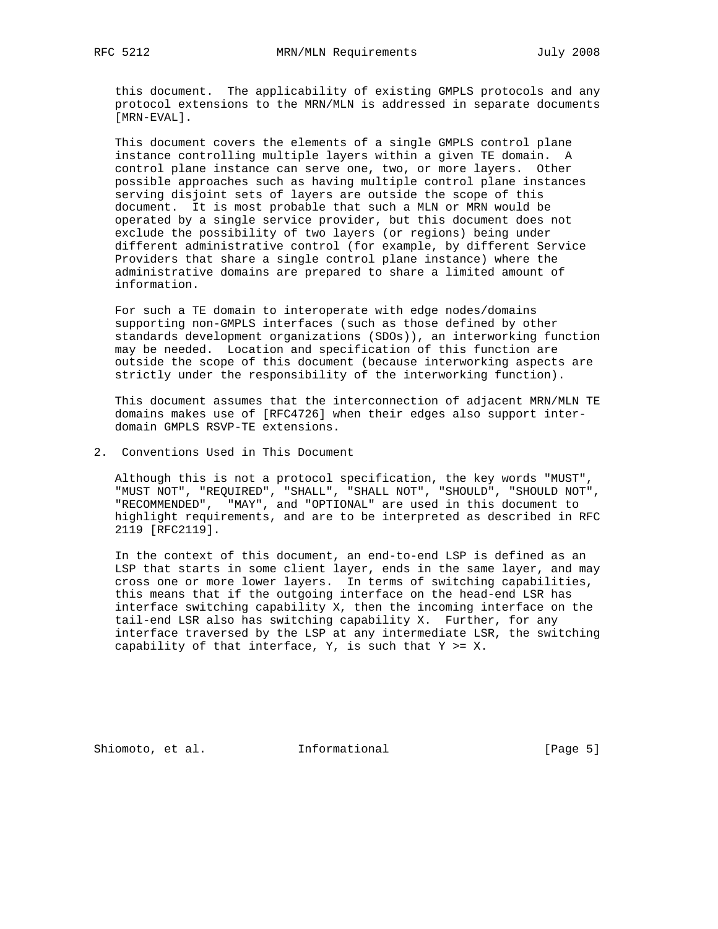this document. The applicability of existing GMPLS protocols and any protocol extensions to the MRN/MLN is addressed in separate documents [MRN-EVAL].

 This document covers the elements of a single GMPLS control plane instance controlling multiple layers within a given TE domain. A control plane instance can serve one, two, or more layers. Other possible approaches such as having multiple control plane instances serving disjoint sets of layers are outside the scope of this document. It is most probable that such a MLN or MRN would be operated by a single service provider, but this document does not exclude the possibility of two layers (or regions) being under different administrative control (for example, by different Service Providers that share a single control plane instance) where the administrative domains are prepared to share a limited amount of information.

 For such a TE domain to interoperate with edge nodes/domains supporting non-GMPLS interfaces (such as those defined by other standards development organizations (SDOs)), an interworking function may be needed. Location and specification of this function are outside the scope of this document (because interworking aspects are strictly under the responsibility of the interworking function).

 This document assumes that the interconnection of adjacent MRN/MLN TE domains makes use of [RFC4726] when their edges also support inter domain GMPLS RSVP-TE extensions.

2. Conventions Used in This Document

 Although this is not a protocol specification, the key words "MUST", "MUST NOT", "REQUIRED", "SHALL", "SHALL NOT", "SHOULD", "SHOULD NOT", "RECOMMENDED", "MAY", and "OPTIONAL" are used in this document to highlight requirements, and are to be interpreted as described in RFC 2119 [RFC2119].

 In the context of this document, an end-to-end LSP is defined as an LSP that starts in some client layer, ends in the same layer, and may cross one or more lower layers. In terms of switching capabilities, this means that if the outgoing interface on the head-end LSR has interface switching capability X, then the incoming interface on the tail-end LSR also has switching capability X. Further, for any interface traversed by the LSP at any intermediate LSR, the switching capability of that interface,  $Y$ , is such that  $Y \geq X$ .

Shiomoto, et al. 1nformational 1999 [Page 5]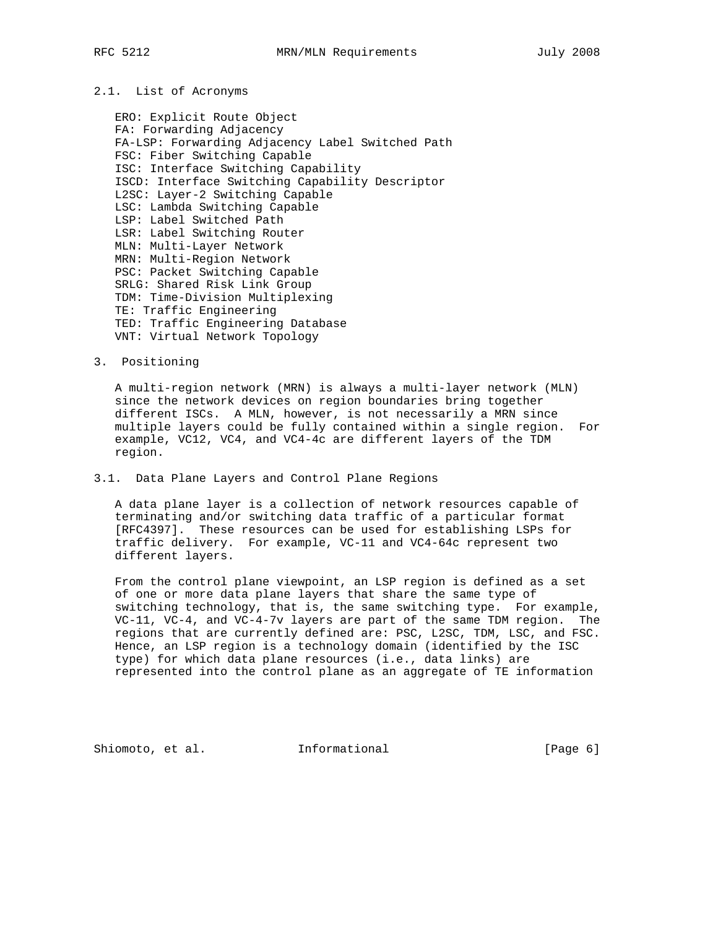# 2.1. List of Acronyms

 ERO: Explicit Route Object FA: Forwarding Adjacency FA-LSP: Forwarding Adjacency Label Switched Path FSC: Fiber Switching Capable ISC: Interface Switching Capability ISCD: Interface Switching Capability Descriptor L2SC: Layer-2 Switching Capable LSC: Lambda Switching Capable LSP: Label Switched Path LSR: Label Switching Router MLN: Multi-Layer Network MRN: Multi-Region Network PSC: Packet Switching Capable SRLG: Shared Risk Link Group TDM: Time-Division Multiplexing TE: Traffic Engineering TED: Traffic Engineering Database VNT: Virtual Network Topology

# 3. Positioning

 A multi-region network (MRN) is always a multi-layer network (MLN) since the network devices on region boundaries bring together different ISCs. A MLN, however, is not necessarily a MRN since multiple layers could be fully contained within a single region. For example, VC12, VC4, and VC4-4c are different layers of the TDM region.

# 3.1. Data Plane Layers and Control Plane Regions

 A data plane layer is a collection of network resources capable of terminating and/or switching data traffic of a particular format [RFC4397]. These resources can be used for establishing LSPs for traffic delivery. For example, VC-11 and VC4-64c represent two different layers.

 From the control plane viewpoint, an LSP region is defined as a set of one or more data plane layers that share the same type of switching technology, that is, the same switching type. For example, VC-11, VC-4, and VC-4-7v layers are part of the same TDM region. The regions that are currently defined are: PSC, L2SC, TDM, LSC, and FSC. Hence, an LSP region is a technology domain (identified by the ISC type) for which data plane resources (i.e., data links) are represented into the control plane as an aggregate of TE information

Shiomoto, et al. **Informational** [Page 6]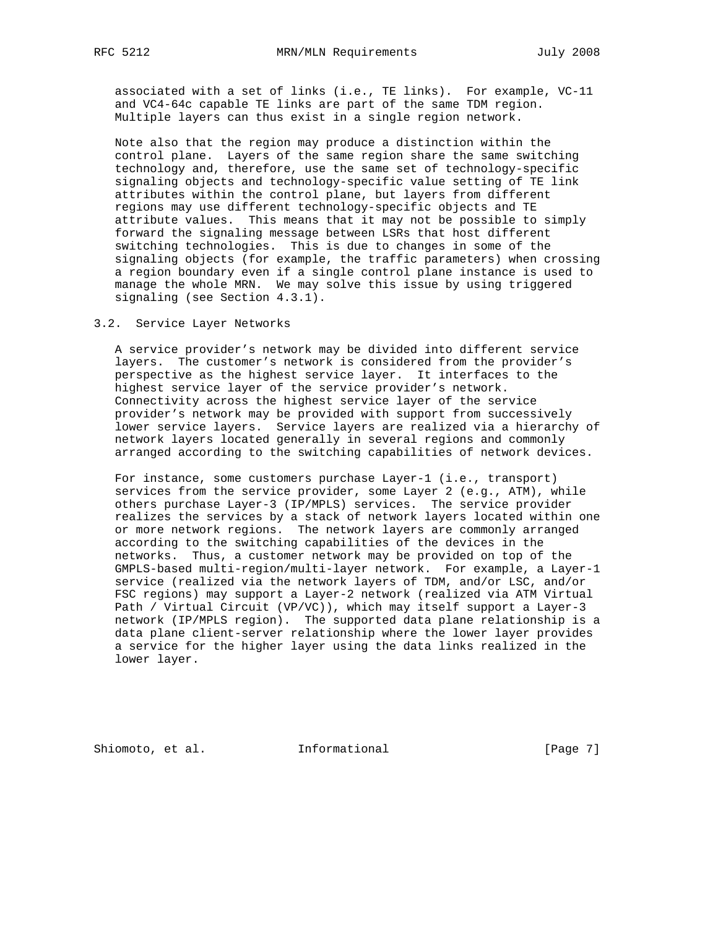associated with a set of links (i.e., TE links). For example, VC-11 and VC4-64c capable TE links are part of the same TDM region. Multiple layers can thus exist in a single region network.

 Note also that the region may produce a distinction within the control plane. Layers of the same region share the same switching technology and, therefore, use the same set of technology-specific signaling objects and technology-specific value setting of TE link attributes within the control plane, but layers from different regions may use different technology-specific objects and TE attribute values. This means that it may not be possible to simply forward the signaling message between LSRs that host different switching technologies. This is due to changes in some of the signaling objects (for example, the traffic parameters) when crossing a region boundary even if a single control plane instance is used to manage the whole MRN. We may solve this issue by using triggered signaling (see Section 4.3.1).

#### 3.2. Service Layer Networks

 A service provider's network may be divided into different service layers. The customer's network is considered from the provider's perspective as the highest service layer. It interfaces to the highest service layer of the service provider's network. Connectivity across the highest service layer of the service provider's network may be provided with support from successively lower service layers. Service layers are realized via a hierarchy of network layers located generally in several regions and commonly arranged according to the switching capabilities of network devices.

 For instance, some customers purchase Layer-1 (i.e., transport) services from the service provider, some Layer 2 (e.g., ATM), while others purchase Layer-3 (IP/MPLS) services. The service provider realizes the services by a stack of network layers located within one or more network regions. The network layers are commonly arranged according to the switching capabilities of the devices in the networks. Thus, a customer network may be provided on top of the GMPLS-based multi-region/multi-layer network. For example, a Layer-1 service (realized via the network layers of TDM, and/or LSC, and/or FSC regions) may support a Layer-2 network (realized via ATM Virtual Path / Virtual Circuit (VP/VC)), which may itself support a Layer-3 network (IP/MPLS region). The supported data plane relationship is a data plane client-server relationship where the lower layer provides a service for the higher layer using the data links realized in the lower layer.

Shiomoto, et al. **Informational** [Page 7]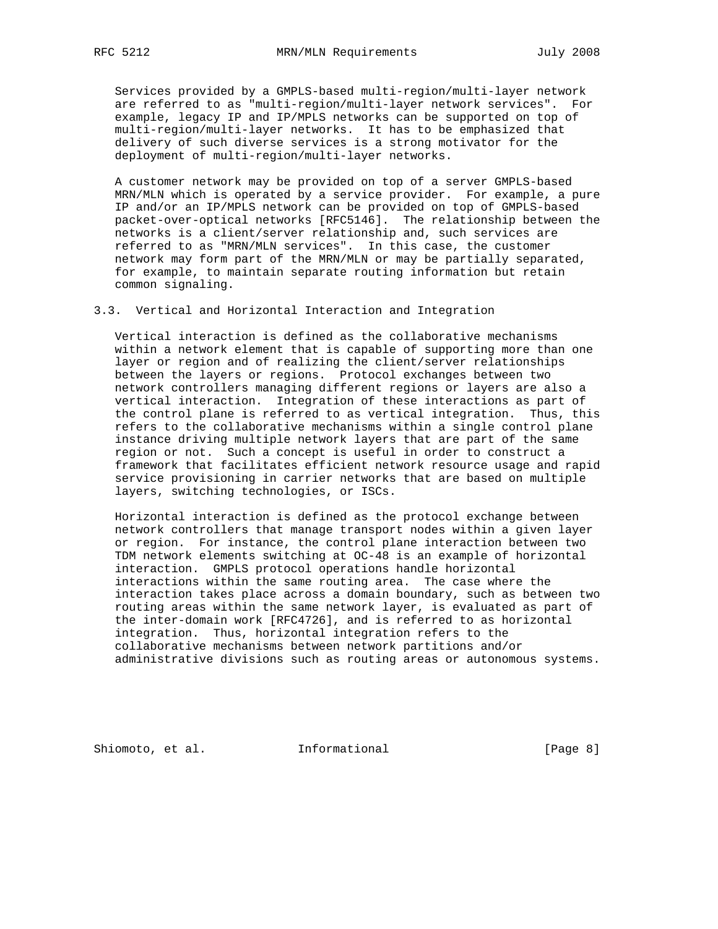Services provided by a GMPLS-based multi-region/multi-layer network are referred to as "multi-region/multi-layer network services". For example, legacy IP and IP/MPLS networks can be supported on top of multi-region/multi-layer networks. It has to be emphasized that delivery of such diverse services is a strong motivator for the deployment of multi-region/multi-layer networks.

 A customer network may be provided on top of a server GMPLS-based MRN/MLN which is operated by a service provider. For example, a pure IP and/or an IP/MPLS network can be provided on top of GMPLS-based packet-over-optical networks [RFC5146]. The relationship between the networks is a client/server relationship and, such services are referred to as "MRN/MLN services". In this case, the customer network may form part of the MRN/MLN or may be partially separated, for example, to maintain separate routing information but retain common signaling.

3.3. Vertical and Horizontal Interaction and Integration

 Vertical interaction is defined as the collaborative mechanisms within a network element that is capable of supporting more than one layer or region and of realizing the client/server relationships between the layers or regions. Protocol exchanges between two network controllers managing different regions or layers are also a vertical interaction. Integration of these interactions as part of the control plane is referred to as vertical integration. Thus, this refers to the collaborative mechanisms within a single control plane instance driving multiple network layers that are part of the same region or not. Such a concept is useful in order to construct a framework that facilitates efficient network resource usage and rapid service provisioning in carrier networks that are based on multiple layers, switching technologies, or ISCs.

 Horizontal interaction is defined as the protocol exchange between network controllers that manage transport nodes within a given layer or region. For instance, the control plane interaction between two TDM network elements switching at OC-48 is an example of horizontal interaction. GMPLS protocol operations handle horizontal interactions within the same routing area. The case where the interaction takes place across a domain boundary, such as between two routing areas within the same network layer, is evaluated as part of the inter-domain work [RFC4726], and is referred to as horizontal integration. Thus, horizontal integration refers to the collaborative mechanisms between network partitions and/or administrative divisions such as routing areas or autonomous systems.

Shiomoto, et al. **Informational** [Page 8]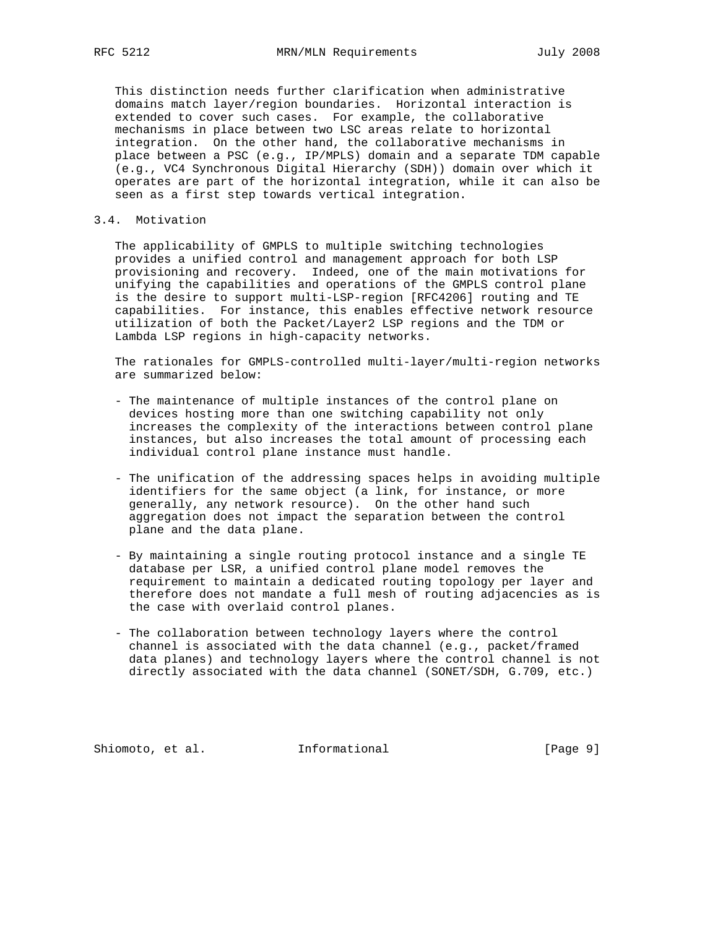This distinction needs further clarification when administrative domains match layer/region boundaries. Horizontal interaction is extended to cover such cases. For example, the collaborative mechanisms in place between two LSC areas relate to horizontal integration. On the other hand, the collaborative mechanisms in place between a PSC (e.g., IP/MPLS) domain and a separate TDM capable (e.g., VC4 Synchronous Digital Hierarchy (SDH)) domain over which it operates are part of the horizontal integration, while it can also be seen as a first step towards vertical integration.

# 3.4. Motivation

 The applicability of GMPLS to multiple switching technologies provides a unified control and management approach for both LSP provisioning and recovery. Indeed, one of the main motivations for unifying the capabilities and operations of the GMPLS control plane is the desire to support multi-LSP-region [RFC4206] routing and TE capabilities. For instance, this enables effective network resource utilization of both the Packet/Layer2 LSP regions and the TDM or Lambda LSP regions in high-capacity networks.

 The rationales for GMPLS-controlled multi-layer/multi-region networks are summarized below:

- The maintenance of multiple instances of the control plane on devices hosting more than one switching capability not only increases the complexity of the interactions between control plane instances, but also increases the total amount of processing each individual control plane instance must handle.
- The unification of the addressing spaces helps in avoiding multiple identifiers for the same object (a link, for instance, or more generally, any network resource). On the other hand such aggregation does not impact the separation between the control plane and the data plane.
- By maintaining a single routing protocol instance and a single TE database per LSR, a unified control plane model removes the requirement to maintain a dedicated routing topology per layer and therefore does not mandate a full mesh of routing adjacencies as is the case with overlaid control planes.
- The collaboration between technology layers where the control channel is associated with the data channel (e.g., packet/framed data planes) and technology layers where the control channel is not directly associated with the data channel (SONET/SDH, G.709, etc.)

Shiomoto, et al. **Informational** [Page 9]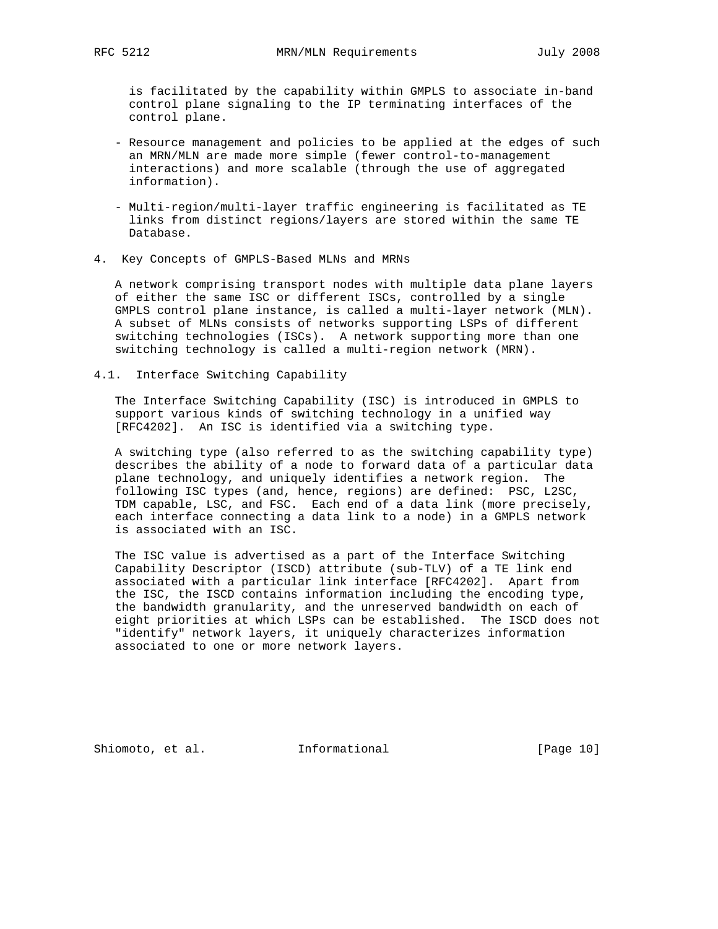is facilitated by the capability within GMPLS to associate in-band control plane signaling to the IP terminating interfaces of the control plane.

- Resource management and policies to be applied at the edges of such an MRN/MLN are made more simple (fewer control-to-management interactions) and more scalable (through the use of aggregated information).
- Multi-region/multi-layer traffic engineering is facilitated as TE links from distinct regions/layers are stored within the same TE Database.
- 4. Key Concepts of GMPLS-Based MLNs and MRNs

 A network comprising transport nodes with multiple data plane layers of either the same ISC or different ISCs, controlled by a single GMPLS control plane instance, is called a multi-layer network (MLN). A subset of MLNs consists of networks supporting LSPs of different switching technologies (ISCs). A network supporting more than one switching technology is called a multi-region network (MRN).

4.1. Interface Switching Capability

 The Interface Switching Capability (ISC) is introduced in GMPLS to support various kinds of switching technology in a unified way [RFC4202]. An ISC is identified via a switching type.

 A switching type (also referred to as the switching capability type) describes the ability of a node to forward data of a particular data plane technology, and uniquely identifies a network region. The following ISC types (and, hence, regions) are defined: PSC, L2SC, TDM capable, LSC, and FSC. Each end of a data link (more precisely, each interface connecting a data link to a node) in a GMPLS network is associated with an ISC.

 The ISC value is advertised as a part of the Interface Switching Capability Descriptor (ISCD) attribute (sub-TLV) of a TE link end associated with a particular link interface [RFC4202]. Apart from the ISC, the ISCD contains information including the encoding type, the bandwidth granularity, and the unreserved bandwidth on each of eight priorities at which LSPs can be established. The ISCD does not "identify" network layers, it uniquely characterizes information associated to one or more network layers.

Shiomoto, et al. 1nformational [Page 10]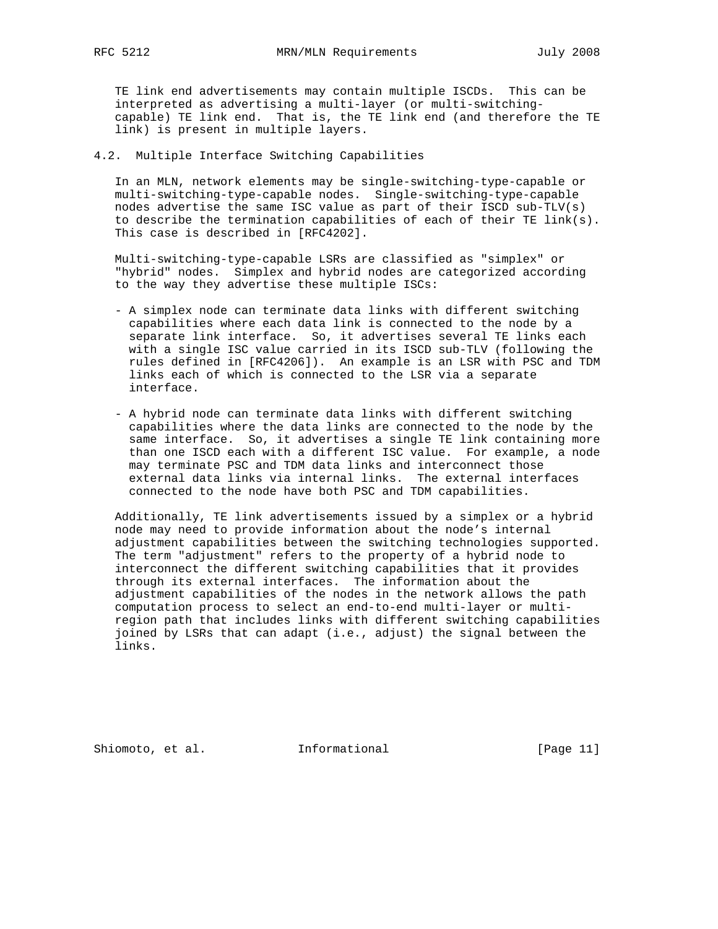TE link end advertisements may contain multiple ISCDs. This can be interpreted as advertising a multi-layer (or multi-switching capable) TE link end. That is, the TE link end (and therefore the TE link) is present in multiple layers.

4.2. Multiple Interface Switching Capabilities

 In an MLN, network elements may be single-switching-type-capable or multi-switching-type-capable nodes. Single-switching-type-capable nodes advertise the same ISC value as part of their ISCD sub-TLV(s) to describe the termination capabilities of each of their TE link(s). This case is described in [RFC4202].

 Multi-switching-type-capable LSRs are classified as "simplex" or "hybrid" nodes. Simplex and hybrid nodes are categorized according to the way they advertise these multiple ISCs:

- A simplex node can terminate data links with different switching capabilities where each data link is connected to the node by a separate link interface. So, it advertises several TE links each with a single ISC value carried in its ISCD sub-TLV (following the rules defined in [RFC4206]). An example is an LSR with PSC and TDM links each of which is connected to the LSR via a separate interface.
- A hybrid node can terminate data links with different switching capabilities where the data links are connected to the node by the same interface. So, it advertises a single TE link containing more than one ISCD each with a different ISC value. For example, a node may terminate PSC and TDM data links and interconnect those external data links via internal links. The external interfaces connected to the node have both PSC and TDM capabilities.

 Additionally, TE link advertisements issued by a simplex or a hybrid node may need to provide information about the node's internal adjustment capabilities between the switching technologies supported. The term "adjustment" refers to the property of a hybrid node to interconnect the different switching capabilities that it provides through its external interfaces. The information about the adjustment capabilities of the nodes in the network allows the path computation process to select an end-to-end multi-layer or multi region path that includes links with different switching capabilities joined by LSRs that can adapt (i.e., adjust) the signal between the links.

Shiomoto, et al. 1nformational [Page 11]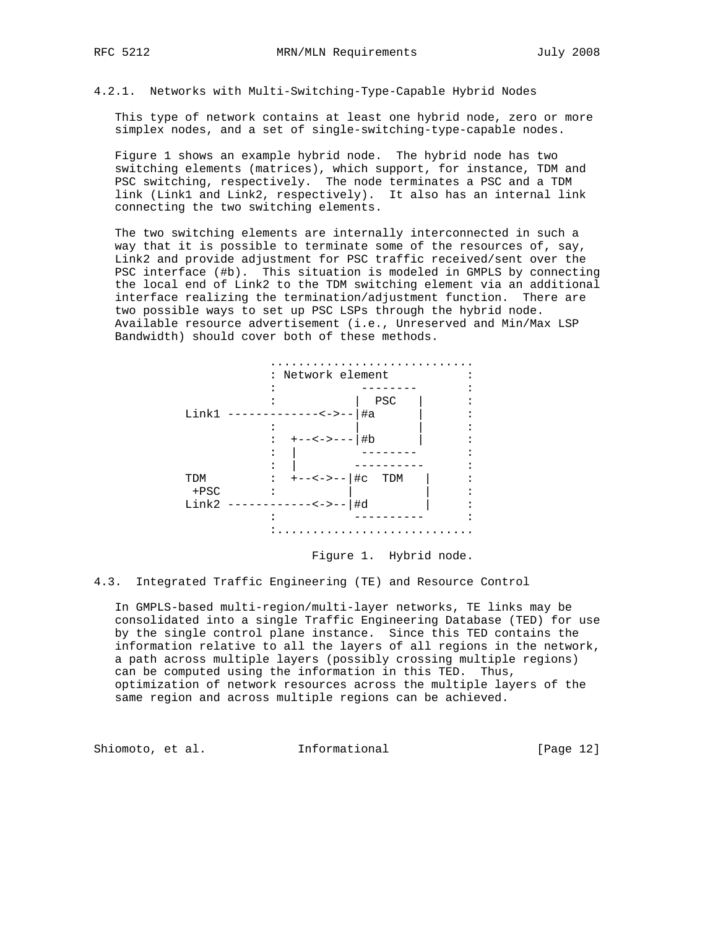#### 4.2.1. Networks with Multi-Switching-Type-Capable Hybrid Nodes

 This type of network contains at least one hybrid node, zero or more simplex nodes, and a set of single-switching-type-capable nodes.

 Figure 1 shows an example hybrid node. The hybrid node has two switching elements (matrices), which support, for instance, TDM and PSC switching, respectively. The node terminates a PSC and a TDM link (Link1 and Link2, respectively). It also has an internal link connecting the two switching elements.

 The two switching elements are internally interconnected in such a way that it is possible to terminate some of the resources of, say, Link2 and provide adjustment for PSC traffic received/sent over the PSC interface (#b). This situation is modeled in GMPLS by connecting the local end of Link2 to the TDM switching element via an additional interface realizing the termination/adjustment function. There are two possible ways to set up PSC LSPs through the hybrid node. Available resource advertisement (i.e., Unreserved and Min/Max LSP Bandwidth) should cover both of these methods.



# Figure 1. Hybrid node.

# 4.3. Integrated Traffic Engineering (TE) and Resource Control

 In GMPLS-based multi-region/multi-layer networks, TE links may be consolidated into a single Traffic Engineering Database (TED) for use by the single control plane instance. Since this TED contains the information relative to all the layers of all regions in the network, a path across multiple layers (possibly crossing multiple regions) can be computed using the information in this TED. Thus, optimization of network resources across the multiple layers of the same region and across multiple regions can be achieved.

Shiomoto, et al. 1nformational [Page 12]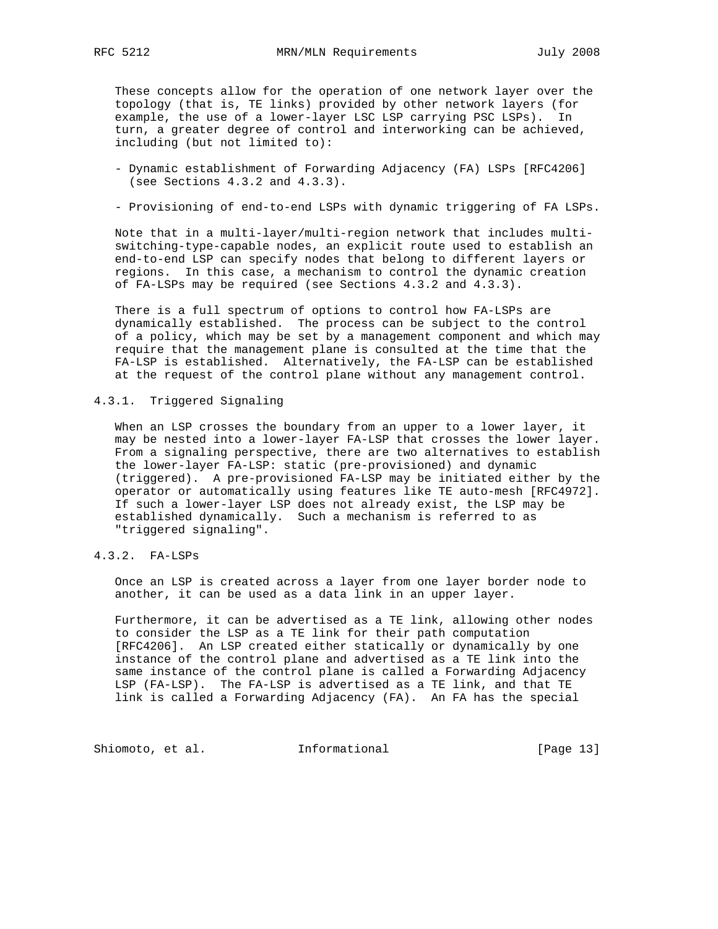These concepts allow for the operation of one network layer over the topology (that is, TE links) provided by other network layers (for example, the use of a lower-layer LSC LSP carrying PSC LSPs). In turn, a greater degree of control and interworking can be achieved, including (but not limited to):

- Dynamic establishment of Forwarding Adjacency (FA) LSPs [RFC4206] (see Sections 4.3.2 and 4.3.3).
- Provisioning of end-to-end LSPs with dynamic triggering of FA LSPs.

 Note that in a multi-layer/multi-region network that includes multi switching-type-capable nodes, an explicit route used to establish an end-to-end LSP can specify nodes that belong to different layers or regions. In this case, a mechanism to control the dynamic creation of FA-LSPs may be required (see Sections 4.3.2 and 4.3.3).

 There is a full spectrum of options to control how FA-LSPs are dynamically established. The process can be subject to the control of a policy, which may be set by a management component and which may require that the management plane is consulted at the time that the FA-LSP is established. Alternatively, the FA-LSP can be established at the request of the control plane without any management control.

4.3.1. Triggered Signaling

 When an LSP crosses the boundary from an upper to a lower layer, it may be nested into a lower-layer FA-LSP that crosses the lower layer. From a signaling perspective, there are two alternatives to establish the lower-layer FA-LSP: static (pre-provisioned) and dynamic (triggered). A pre-provisioned FA-LSP may be initiated either by the operator or automatically using features like TE auto-mesh [RFC4972]. If such a lower-layer LSP does not already exist, the LSP may be established dynamically. Such a mechanism is referred to as "triggered signaling".

4.3.2. FA-LSPs

 Once an LSP is created across a layer from one layer border node to another, it can be used as a data link in an upper layer.

 Furthermore, it can be advertised as a TE link, allowing other nodes to consider the LSP as a TE link for their path computation [RFC4206]. An LSP created either statically or dynamically by one instance of the control plane and advertised as a TE link into the same instance of the control plane is called a Forwarding Adjacency LSP (FA-LSP). The FA-LSP is advertised as a TE link, and that TE link is called a Forwarding Adjacency (FA). An FA has the special

Shiomoto, et al. 1nformational [Page 13]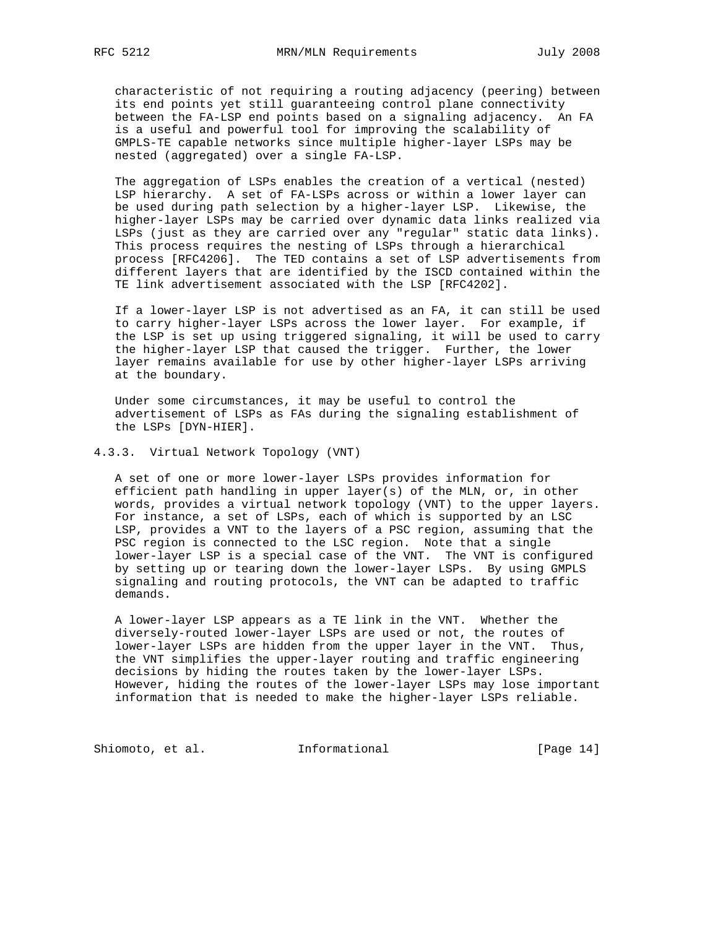characteristic of not requiring a routing adjacency (peering) between its end points yet still guaranteeing control plane connectivity between the FA-LSP end points based on a signaling adjacency. An FA is a useful and powerful tool for improving the scalability of GMPLS-TE capable networks since multiple higher-layer LSPs may be nested (aggregated) over a single FA-LSP.

 The aggregation of LSPs enables the creation of a vertical (nested) LSP hierarchy. A set of FA-LSPs across or within a lower layer can be used during path selection by a higher-layer LSP. Likewise, the higher-layer LSPs may be carried over dynamic data links realized via LSPs (just as they are carried over any "regular" static data links). This process requires the nesting of LSPs through a hierarchical process [RFC4206]. The TED contains a set of LSP advertisements from different layers that are identified by the ISCD contained within the TE link advertisement associated with the LSP [RFC4202].

 If a lower-layer LSP is not advertised as an FA, it can still be used to carry higher-layer LSPs across the lower layer. For example, if the LSP is set up using triggered signaling, it will be used to carry the higher-layer LSP that caused the trigger. Further, the lower layer remains available for use by other higher-layer LSPs arriving at the boundary.

 Under some circumstances, it may be useful to control the advertisement of LSPs as FAs during the signaling establishment of the LSPs [DYN-HIER].

#### 4.3.3. Virtual Network Topology (VNT)

 A set of one or more lower-layer LSPs provides information for efficient path handling in upper layer(s) of the MLN, or, in other words, provides a virtual network topology (VNT) to the upper layers. For instance, a set of LSPs, each of which is supported by an LSC LSP, provides a VNT to the layers of a PSC region, assuming that the PSC region is connected to the LSC region. Note that a single lower-layer LSP is a special case of the VNT. The VNT is configured by setting up or tearing down the lower-layer LSPs. By using GMPLS signaling and routing protocols, the VNT can be adapted to traffic demands.

 A lower-layer LSP appears as a TE link in the VNT. Whether the diversely-routed lower-layer LSPs are used or not, the routes of lower-layer LSPs are hidden from the upper layer in the VNT. Thus, the VNT simplifies the upper-layer routing and traffic engineering decisions by hiding the routes taken by the lower-layer LSPs. However, hiding the routes of the lower-layer LSPs may lose important information that is needed to make the higher-layer LSPs reliable.

Shiomoto, et al. 1nformational [Page 14]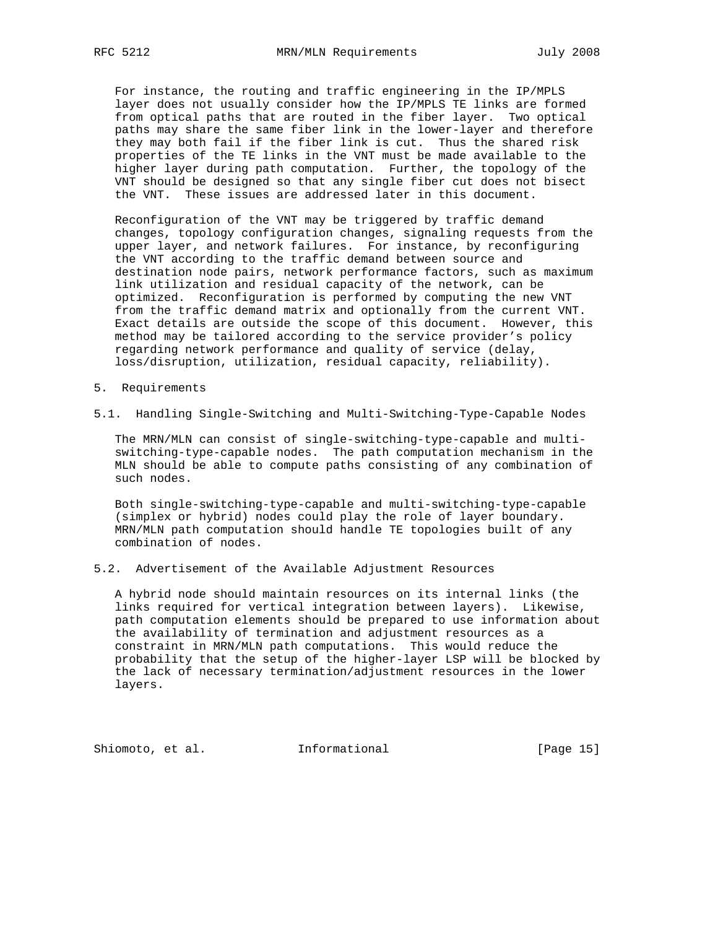For instance, the routing and traffic engineering in the IP/MPLS layer does not usually consider how the IP/MPLS TE links are formed from optical paths that are routed in the fiber layer. Two optical paths may share the same fiber link in the lower-layer and therefore they may both fail if the fiber link is cut. Thus the shared risk properties of the TE links in the VNT must be made available to the higher layer during path computation. Further, the topology of the VNT should be designed so that any single fiber cut does not bisect the VNT. These issues are addressed later in this document.

 Reconfiguration of the VNT may be triggered by traffic demand changes, topology configuration changes, signaling requests from the upper layer, and network failures. For instance, by reconfiguring the VNT according to the traffic demand between source and destination node pairs, network performance factors, such as maximum link utilization and residual capacity of the network, can be optimized. Reconfiguration is performed by computing the new VNT from the traffic demand matrix and optionally from the current VNT. Exact details are outside the scope of this document. However, this method may be tailored according to the service provider's policy regarding network performance and quality of service (delay, loss/disruption, utilization, residual capacity, reliability).

- 5. Requirements
- 5.1. Handling Single-Switching and Multi-Switching-Type-Capable Nodes

 The MRN/MLN can consist of single-switching-type-capable and multi switching-type-capable nodes. The path computation mechanism in the MLN should be able to compute paths consisting of any combination of such nodes.

 Both single-switching-type-capable and multi-switching-type-capable (simplex or hybrid) nodes could play the role of layer boundary. MRN/MLN path computation should handle TE topologies built of any combination of nodes.

# 5.2. Advertisement of the Available Adjustment Resources

 A hybrid node should maintain resources on its internal links (the links required for vertical integration between layers). Likewise, path computation elements should be prepared to use information about the availability of termination and adjustment resources as a constraint in MRN/MLN path computations. This would reduce the probability that the setup of the higher-layer LSP will be blocked by the lack of necessary termination/adjustment resources in the lower layers.

Shiomoto, et al. **Informational** [Page 15]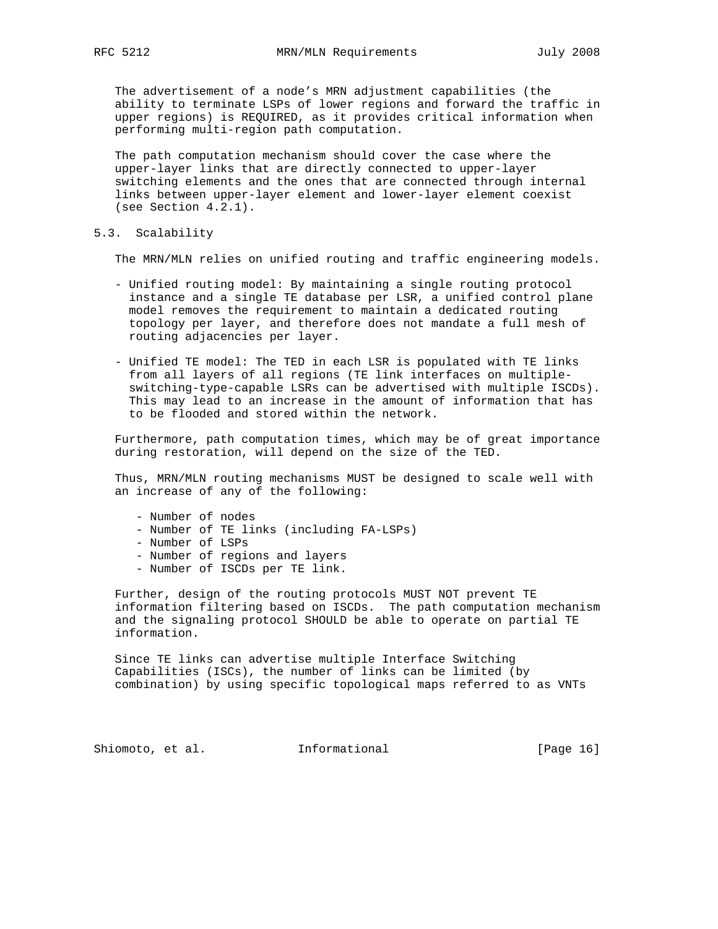The advertisement of a node's MRN adjustment capabilities (the ability to terminate LSPs of lower regions and forward the traffic in upper regions) is REQUIRED, as it provides critical information when performing multi-region path computation.

 The path computation mechanism should cover the case where the upper-layer links that are directly connected to upper-layer switching elements and the ones that are connected through internal links between upper-layer element and lower-layer element coexist (see Section 4.2.1).

5.3. Scalability

The MRN/MLN relies on unified routing and traffic engineering models.

- Unified routing model: By maintaining a single routing protocol instance and a single TE database per LSR, a unified control plane model removes the requirement to maintain a dedicated routing topology per layer, and therefore does not mandate a full mesh of routing adjacencies per layer.
- Unified TE model: The TED in each LSR is populated with TE links from all layers of all regions (TE link interfaces on multiple switching-type-capable LSRs can be advertised with multiple ISCDs). This may lead to an increase in the amount of information that has to be flooded and stored within the network.

 Furthermore, path computation times, which may be of great importance during restoration, will depend on the size of the TED.

 Thus, MRN/MLN routing mechanisms MUST be designed to scale well with an increase of any of the following:

- Number of nodes
- Number of TE links (including FA-LSPs)
- Number of LSPs
- Number of regions and layers
- Number of ISCDs per TE link.

 Further, design of the routing protocols MUST NOT prevent TE information filtering based on ISCDs. The path computation mechanism and the signaling protocol SHOULD be able to operate on partial TE information.

 Since TE links can advertise multiple Interface Switching Capabilities (ISCs), the number of links can be limited (by combination) by using specific topological maps referred to as VNTs

Shiomoto, et al. 1nformational [Page 16]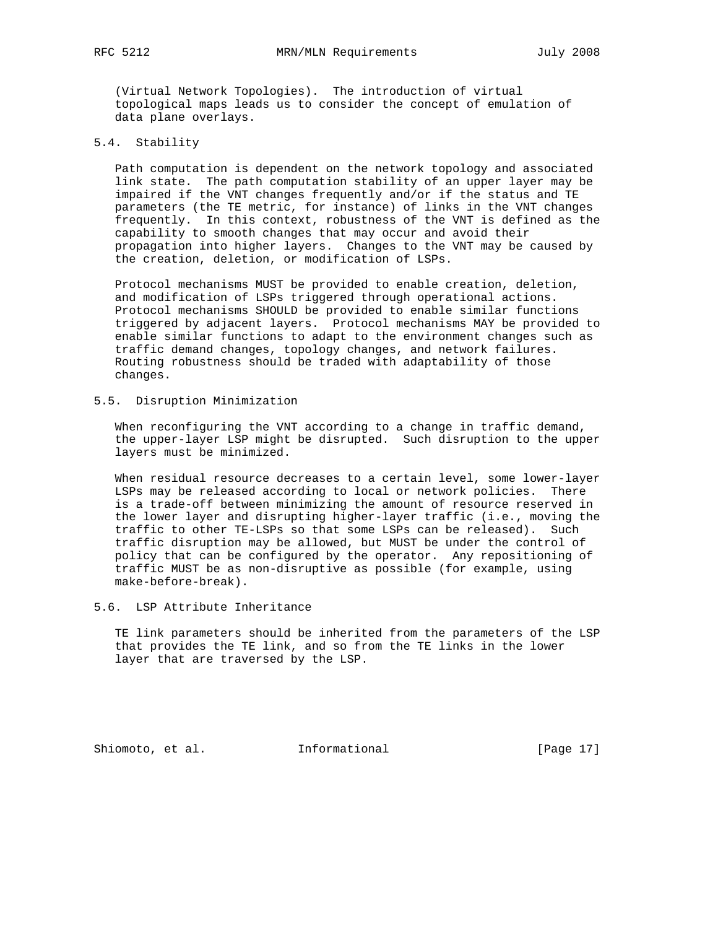(Virtual Network Topologies). The introduction of virtual topological maps leads us to consider the concept of emulation of data plane overlays.

5.4. Stability

 Path computation is dependent on the network topology and associated link state. The path computation stability of an upper layer may be impaired if the VNT changes frequently and/or if the status and TE parameters (the TE metric, for instance) of links in the VNT changes frequently. In this context, robustness of the VNT is defined as the capability to smooth changes that may occur and avoid their propagation into higher layers. Changes to the VNT may be caused by the creation, deletion, or modification of LSPs.

 Protocol mechanisms MUST be provided to enable creation, deletion, and modification of LSPs triggered through operational actions. Protocol mechanisms SHOULD be provided to enable similar functions triggered by adjacent layers. Protocol mechanisms MAY be provided to enable similar functions to adapt to the environment changes such as traffic demand changes, topology changes, and network failures. Routing robustness should be traded with adaptability of those changes.

5.5. Disruption Minimization

 When reconfiguring the VNT according to a change in traffic demand, the upper-layer LSP might be disrupted. Such disruption to the upper layers must be minimized.

 When residual resource decreases to a certain level, some lower-layer LSPs may be released according to local or network policies. There is a trade-off between minimizing the amount of resource reserved in the lower layer and disrupting higher-layer traffic (i.e., moving the traffic to other TE-LSPs so that some LSPs can be released). Such traffic disruption may be allowed, but MUST be under the control of policy that can be configured by the operator. Any repositioning of traffic MUST be as non-disruptive as possible (for example, using make-before-break).

5.6. LSP Attribute Inheritance

 TE link parameters should be inherited from the parameters of the LSP that provides the TE link, and so from the TE links in the lower layer that are traversed by the LSP.

Shiomoto, et al. 1nformational 1999 [Page 17]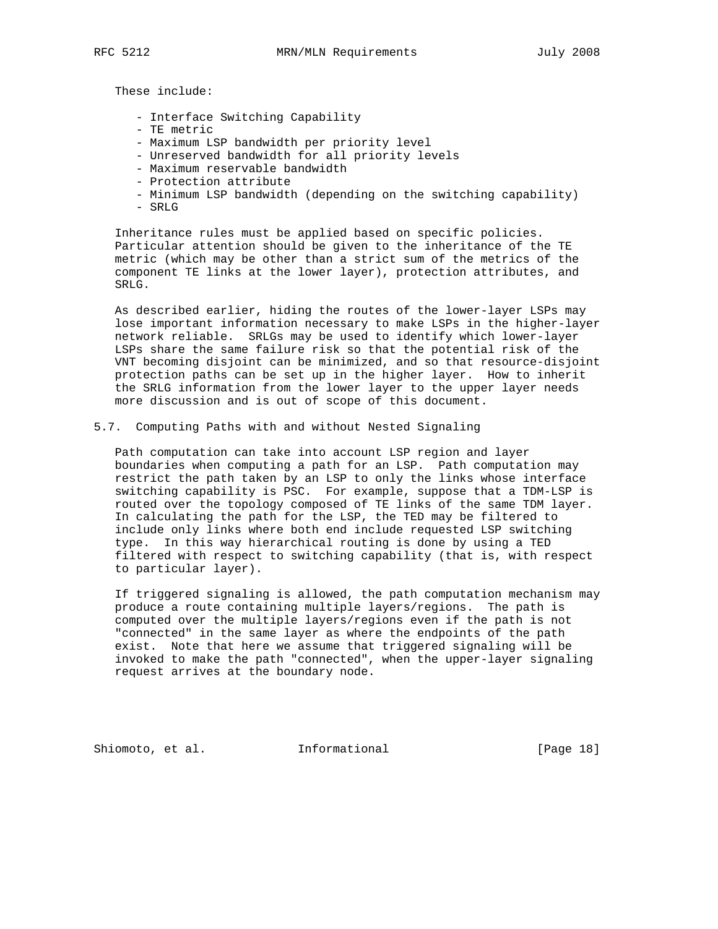These include:

- Interface Switching Capability
- TE metric
- Maximum LSP bandwidth per priority level
- Unreserved bandwidth for all priority levels
- Maximum reservable bandwidth
- Protection attribute
- Minimum LSP bandwidth (depending on the switching capability)
- SRLG

 Inheritance rules must be applied based on specific policies. Particular attention should be given to the inheritance of the TE metric (which may be other than a strict sum of the metrics of the component TE links at the lower layer), protection attributes, and SRLG.

 As described earlier, hiding the routes of the lower-layer LSPs may lose important information necessary to make LSPs in the higher-layer network reliable. SRLGs may be used to identify which lower-layer LSPs share the same failure risk so that the potential risk of the VNT becoming disjoint can be minimized, and so that resource-disjoint protection paths can be set up in the higher layer. How to inherit the SRLG information from the lower layer to the upper layer needs more discussion and is out of scope of this document.

5.7. Computing Paths with and without Nested Signaling

 Path computation can take into account LSP region and layer boundaries when computing a path for an LSP. Path computation may restrict the path taken by an LSP to only the links whose interface switching capability is PSC. For example, suppose that a TDM-LSP is routed over the topology composed of TE links of the same TDM layer. In calculating the path for the LSP, the TED may be filtered to include only links where both end include requested LSP switching type. In this way hierarchical routing is done by using a TED filtered with respect to switching capability (that is, with respect to particular layer).

 If triggered signaling is allowed, the path computation mechanism may produce a route containing multiple layers/regions. The path is computed over the multiple layers/regions even if the path is not "connected" in the same layer as where the endpoints of the path exist. Note that here we assume that triggered signaling will be invoked to make the path "connected", when the upper-layer signaling request arrives at the boundary node.

Shiomoto, et al. **Informational** [Page 18]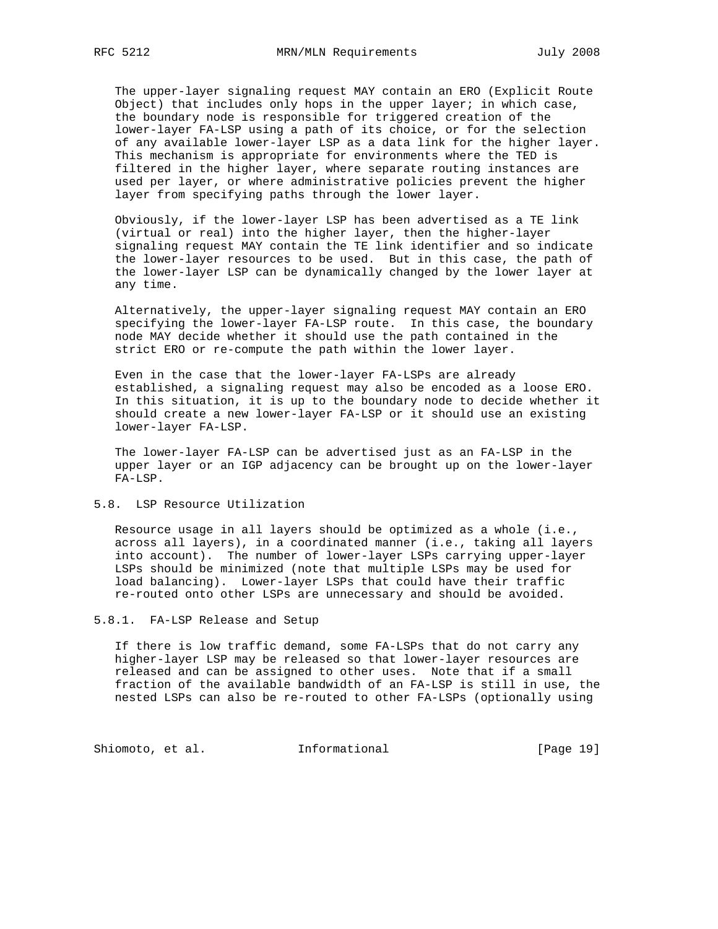The upper-layer signaling request MAY contain an ERO (Explicit Route Object) that includes only hops in the upper layer; in which case, the boundary node is responsible for triggered creation of the lower-layer FA-LSP using a path of its choice, or for the selection of any available lower-layer LSP as a data link for the higher layer. This mechanism is appropriate for environments where the TED is filtered in the higher layer, where separate routing instances are used per layer, or where administrative policies prevent the higher layer from specifying paths through the lower layer.

 Obviously, if the lower-layer LSP has been advertised as a TE link (virtual or real) into the higher layer, then the higher-layer signaling request MAY contain the TE link identifier and so indicate the lower-layer resources to be used. But in this case, the path of the lower-layer LSP can be dynamically changed by the lower layer at any time.

 Alternatively, the upper-layer signaling request MAY contain an ERO specifying the lower-layer FA-LSP route. In this case, the boundary node MAY decide whether it should use the path contained in the strict ERO or re-compute the path within the lower layer.

 Even in the case that the lower-layer FA-LSPs are already established, a signaling request may also be encoded as a loose ERO. In this situation, it is up to the boundary node to decide whether it should create a new lower-layer FA-LSP or it should use an existing lower-layer FA-LSP.

 The lower-layer FA-LSP can be advertised just as an FA-LSP in the upper layer or an IGP adjacency can be brought up on the lower-layer FA-LSP.

## 5.8. LSP Resource Utilization

 Resource usage in all layers should be optimized as a whole (i.e., across all layers), in a coordinated manner (i.e., taking all layers into account). The number of lower-layer LSPs carrying upper-layer LSPs should be minimized (note that multiple LSPs may be used for load balancing). Lower-layer LSPs that could have their traffic re-routed onto other LSPs are unnecessary and should be avoided.

## 5.8.1. FA-LSP Release and Setup

 If there is low traffic demand, some FA-LSPs that do not carry any higher-layer LSP may be released so that lower-layer resources are released and can be assigned to other uses. Note that if a small fraction of the available bandwidth of an FA-LSP is still in use, the nested LSPs can also be re-routed to other FA-LSPs (optionally using

Shiomoto, et al. 1nformational [Page 19]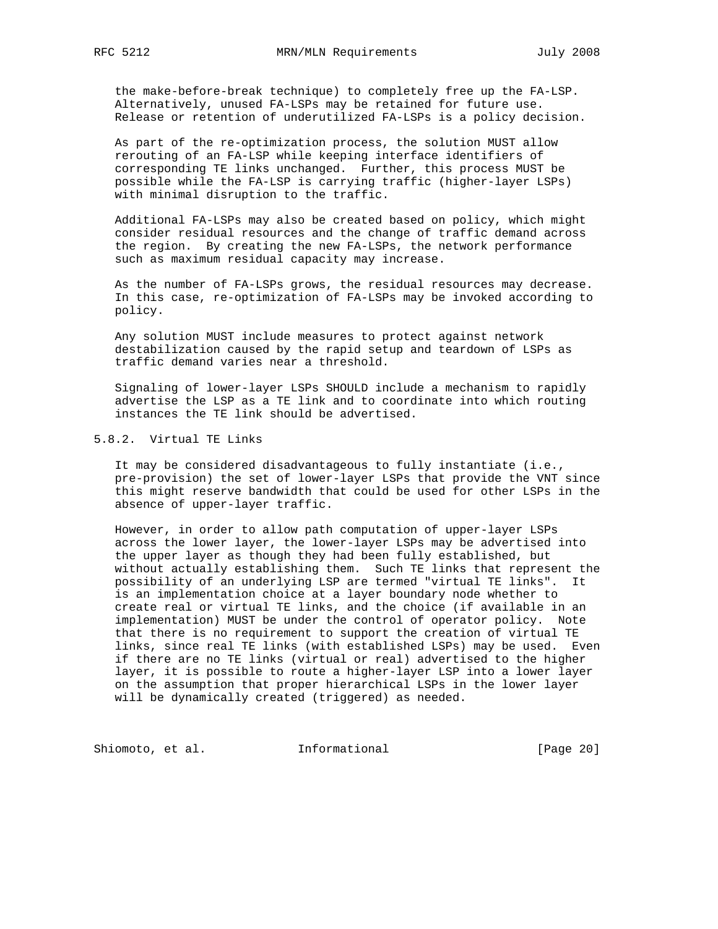the make-before-break technique) to completely free up the FA-LSP. Alternatively, unused FA-LSPs may be retained for future use. Release or retention of underutilized FA-LSPs is a policy decision.

 As part of the re-optimization process, the solution MUST allow rerouting of an FA-LSP while keeping interface identifiers of corresponding TE links unchanged. Further, this process MUST be possible while the FA-LSP is carrying traffic (higher-layer LSPs) with minimal disruption to the traffic.

 Additional FA-LSPs may also be created based on policy, which might consider residual resources and the change of traffic demand across the region. By creating the new FA-LSPs, the network performance such as maximum residual capacity may increase.

 As the number of FA-LSPs grows, the residual resources may decrease. In this case, re-optimization of FA-LSPs may be invoked according to policy.

 Any solution MUST include measures to protect against network destabilization caused by the rapid setup and teardown of LSPs as traffic demand varies near a threshold.

 Signaling of lower-layer LSPs SHOULD include a mechanism to rapidly advertise the LSP as a TE link and to coordinate into which routing instances the TE link should be advertised.

# 5.8.2. Virtual TE Links

 It may be considered disadvantageous to fully instantiate (i.e., pre-provision) the set of lower-layer LSPs that provide the VNT since this might reserve bandwidth that could be used for other LSPs in the absence of upper-layer traffic.

 However, in order to allow path computation of upper-layer LSPs across the lower layer, the lower-layer LSPs may be advertised into the upper layer as though they had been fully established, but without actually establishing them. Such TE links that represent the possibility of an underlying LSP are termed "virtual TE links". It is an implementation choice at a layer boundary node whether to create real or virtual TE links, and the choice (if available in an implementation) MUST be under the control of operator policy. Note that there is no requirement to support the creation of virtual TE links, since real TE links (with established LSPs) may be used. Even if there are no TE links (virtual or real) advertised to the higher layer, it is possible to route a higher-layer LSP into a lower layer on the assumption that proper hierarchical LSPs in the lower layer will be dynamically created (triggered) as needed.

Shiomoto, et al. 1nformational [Page 20]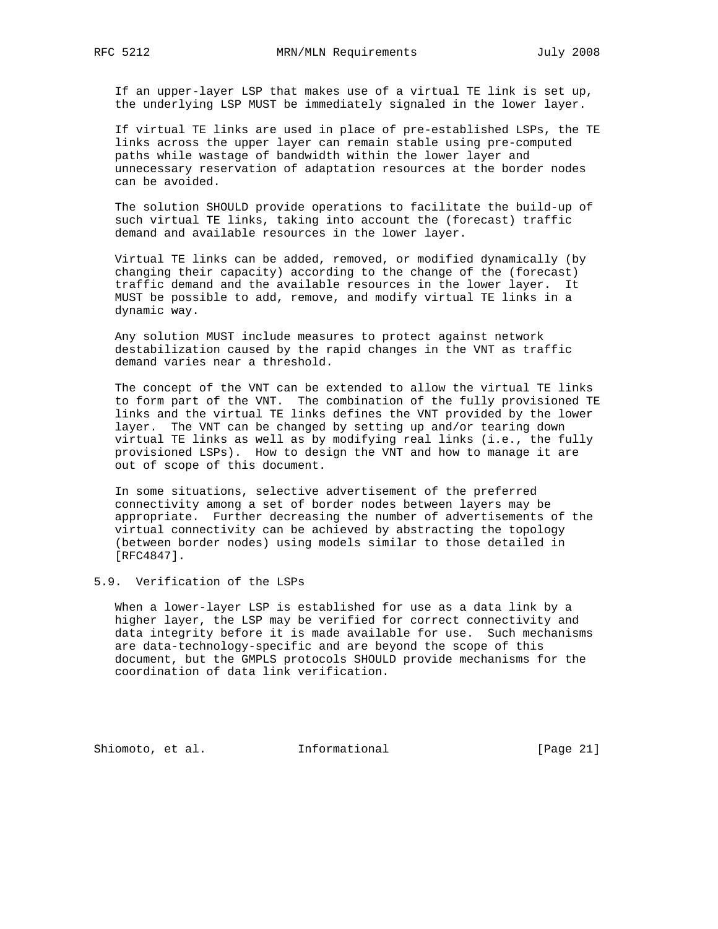If an upper-layer LSP that makes use of a virtual TE link is set up, the underlying LSP MUST be immediately signaled in the lower layer.

 If virtual TE links are used in place of pre-established LSPs, the TE links across the upper layer can remain stable using pre-computed paths while wastage of bandwidth within the lower layer and unnecessary reservation of adaptation resources at the border nodes can be avoided.

 The solution SHOULD provide operations to facilitate the build-up of such virtual TE links, taking into account the (forecast) traffic demand and available resources in the lower layer.

 Virtual TE links can be added, removed, or modified dynamically (by changing their capacity) according to the change of the (forecast) traffic demand and the available resources in the lower layer. It MUST be possible to add, remove, and modify virtual TE links in a dynamic way.

 Any solution MUST include measures to protect against network destabilization caused by the rapid changes in the VNT as traffic demand varies near a threshold.

 The concept of the VNT can be extended to allow the virtual TE links to form part of the VNT. The combination of the fully provisioned TE links and the virtual TE links defines the VNT provided by the lower layer. The VNT can be changed by setting up and/or tearing down virtual TE links as well as by modifying real links (i.e., the fully provisioned LSPs). How to design the VNT and how to manage it are out of scope of this document.

 In some situations, selective advertisement of the preferred connectivity among a set of border nodes between layers may be appropriate. Further decreasing the number of advertisements of the virtual connectivity can be achieved by abstracting the topology (between border nodes) using models similar to those detailed in [RFC4847].

# 5.9. Verification of the LSPs

 When a lower-layer LSP is established for use as a data link by a higher layer, the LSP may be verified for correct connectivity and data integrity before it is made available for use. Such mechanisms are data-technology-specific and are beyond the scope of this document, but the GMPLS protocols SHOULD provide mechanisms for the coordination of data link verification.

Shiomoto, et al. 1nformational [Page 21]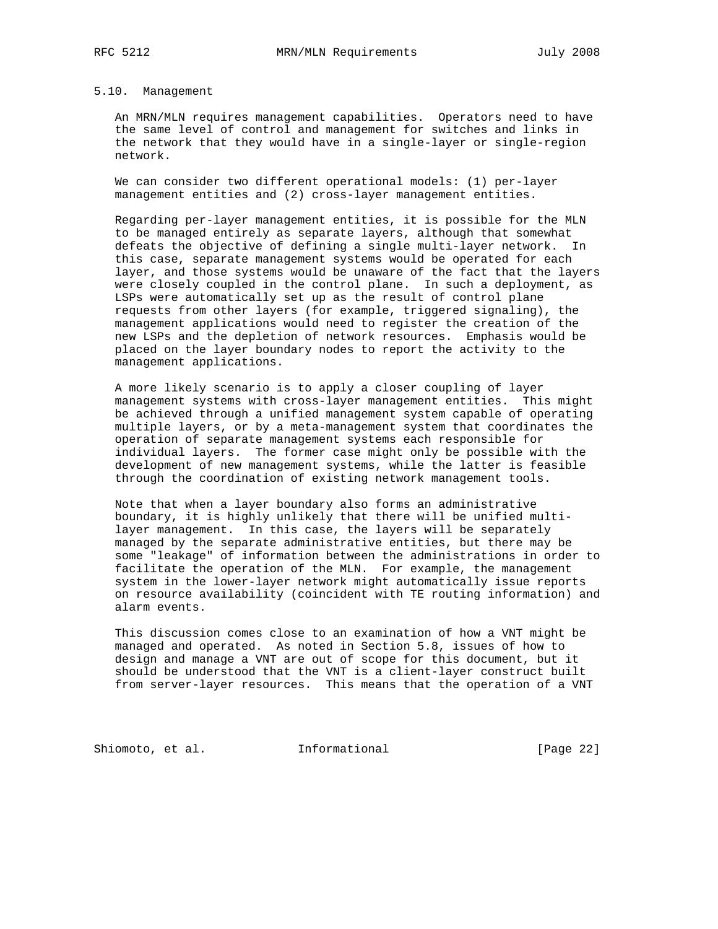#### 5.10. Management

 An MRN/MLN requires management capabilities. Operators need to have the same level of control and management for switches and links in the network that they would have in a single-layer or single-region network.

 We can consider two different operational models: (1) per-layer management entities and (2) cross-layer management entities.

 Regarding per-layer management entities, it is possible for the MLN to be managed entirely as separate layers, although that somewhat defeats the objective of defining a single multi-layer network. In this case, separate management systems would be operated for each layer, and those systems would be unaware of the fact that the layers were closely coupled in the control plane. In such a deployment, as LSPs were automatically set up as the result of control plane requests from other layers (for example, triggered signaling), the management applications would need to register the creation of the new LSPs and the depletion of network resources. Emphasis would be placed on the layer boundary nodes to report the activity to the management applications.

 A more likely scenario is to apply a closer coupling of layer management systems with cross-layer management entities. This might be achieved through a unified management system capable of operating multiple layers, or by a meta-management system that coordinates the operation of separate management systems each responsible for individual layers. The former case might only be possible with the development of new management systems, while the latter is feasible through the coordination of existing network management tools.

 Note that when a layer boundary also forms an administrative boundary, it is highly unlikely that there will be unified multi layer management. In this case, the layers will be separately managed by the separate administrative entities, but there may be some "leakage" of information between the administrations in order to facilitate the operation of the MLN. For example, the management system in the lower-layer network might automatically issue reports on resource availability (coincident with TE routing information) and alarm events.

 This discussion comes close to an examination of how a VNT might be managed and operated. As noted in Section 5.8, issues of how to design and manage a VNT are out of scope for this document, but it should be understood that the VNT is a client-layer construct built from server-layer resources. This means that the operation of a VNT

Shiomoto, et al. 1nformational [Page 22]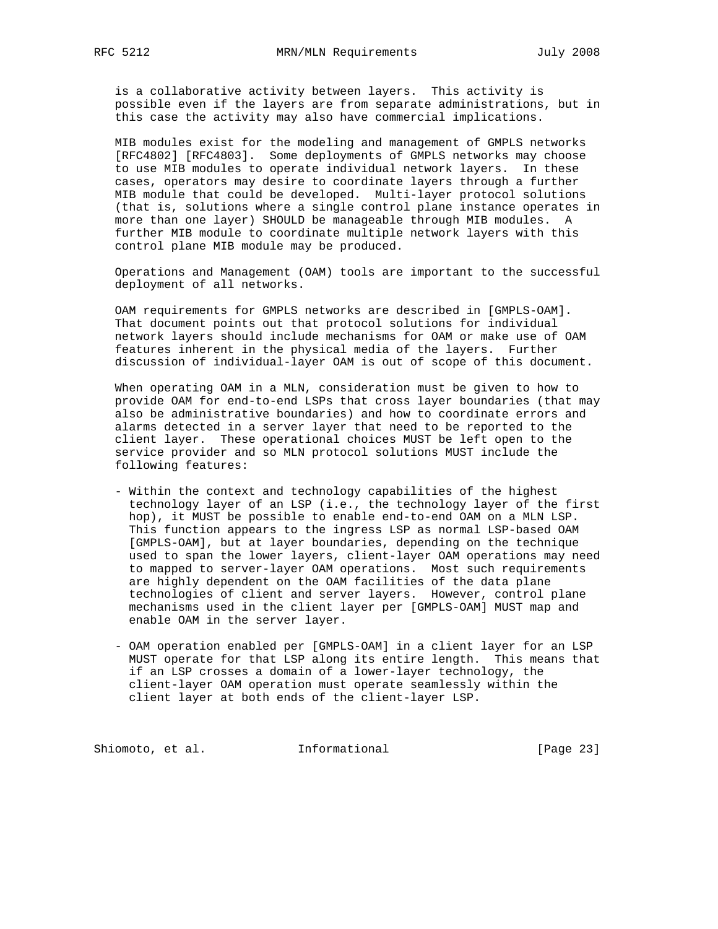is a collaborative activity between layers. This activity is possible even if the layers are from separate administrations, but in this case the activity may also have commercial implications.

 MIB modules exist for the modeling and management of GMPLS networks [RFC4802] [RFC4803]. Some deployments of GMPLS networks may choose to use MIB modules to operate individual network layers. In these cases, operators may desire to coordinate layers through a further MIB module that could be developed. Multi-layer protocol solutions (that is, solutions where a single control plane instance operates in more than one layer) SHOULD be manageable through MIB modules. A further MIB module to coordinate multiple network layers with this control plane MIB module may be produced.

 Operations and Management (OAM) tools are important to the successful deployment of all networks.

 OAM requirements for GMPLS networks are described in [GMPLS-OAM]. That document points out that protocol solutions for individual network layers should include mechanisms for OAM or make use of OAM features inherent in the physical media of the layers. Further discussion of individual-layer OAM is out of scope of this document.

 When operating OAM in a MLN, consideration must be given to how to provide OAM for end-to-end LSPs that cross layer boundaries (that may also be administrative boundaries) and how to coordinate errors and alarms detected in a server layer that need to be reported to the client layer. These operational choices MUST be left open to the service provider and so MLN protocol solutions MUST include the following features:

- Within the context and technology capabilities of the highest technology layer of an LSP (i.e., the technology layer of the first hop), it MUST be possible to enable end-to-end OAM on a MLN LSP. This function appears to the ingress LSP as normal LSP-based OAM [GMPLS-OAM], but at layer boundaries, depending on the technique used to span the lower layers, client-layer OAM operations may need to mapped to server-layer OAM operations. Most such requirements are highly dependent on the OAM facilities of the data plane technologies of client and server layers. However, control plane mechanisms used in the client layer per [GMPLS-OAM] MUST map and enable OAM in the server layer.
- OAM operation enabled per [GMPLS-OAM] in a client layer for an LSP MUST operate for that LSP along its entire length. This means that if an LSP crosses a domain of a lower-layer technology, the client-layer OAM operation must operate seamlessly within the client layer at both ends of the client-layer LSP.

Shiomoto, et al. 1nformational [Page 23]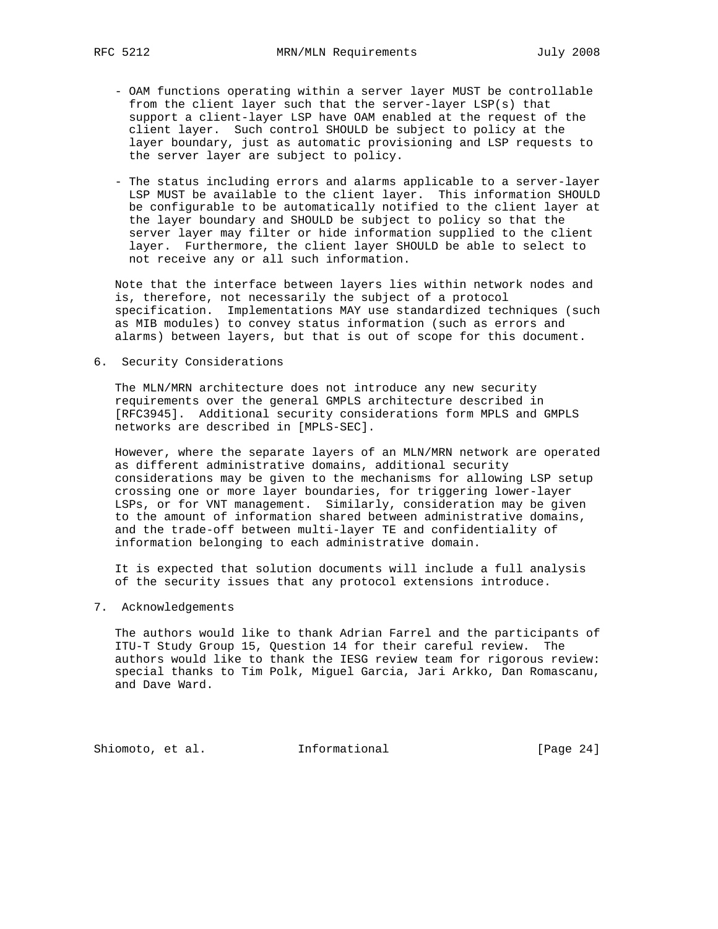- OAM functions operating within a server layer MUST be controllable from the client layer such that the server-layer LSP(s) that support a client-layer LSP have OAM enabled at the request of the client layer. Such control SHOULD be subject to policy at the layer boundary, just as automatic provisioning and LSP requests to the server layer are subject to policy.
- The status including errors and alarms applicable to a server-layer LSP MUST be available to the client layer. This information SHOULD be configurable to be automatically notified to the client layer at the layer boundary and SHOULD be subject to policy so that the server layer may filter or hide information supplied to the client layer. Furthermore, the client layer SHOULD be able to select to not receive any or all such information.

 Note that the interface between layers lies within network nodes and is, therefore, not necessarily the subject of a protocol specification. Implementations MAY use standardized techniques (such as MIB modules) to convey status information (such as errors and alarms) between layers, but that is out of scope for this document.

6. Security Considerations

 The MLN/MRN architecture does not introduce any new security requirements over the general GMPLS architecture described in [RFC3945]. Additional security considerations form MPLS and GMPLS networks are described in [MPLS-SEC].

 However, where the separate layers of an MLN/MRN network are operated as different administrative domains, additional security considerations may be given to the mechanisms for allowing LSP setup crossing one or more layer boundaries, for triggering lower-layer LSPs, or for VNT management. Similarly, consideration may be given to the amount of information shared between administrative domains, and the trade-off between multi-layer TE and confidentiality of information belonging to each administrative domain.

 It is expected that solution documents will include a full analysis of the security issues that any protocol extensions introduce.

7. Acknowledgements

 The authors would like to thank Adrian Farrel and the participants of ITU-T Study Group 15, Question 14 for their careful review. The authors would like to thank the IESG review team for rigorous review: special thanks to Tim Polk, Miguel Garcia, Jari Arkko, Dan Romascanu, and Dave Ward.

Shiomoto, et al. 1nformational [Page 24]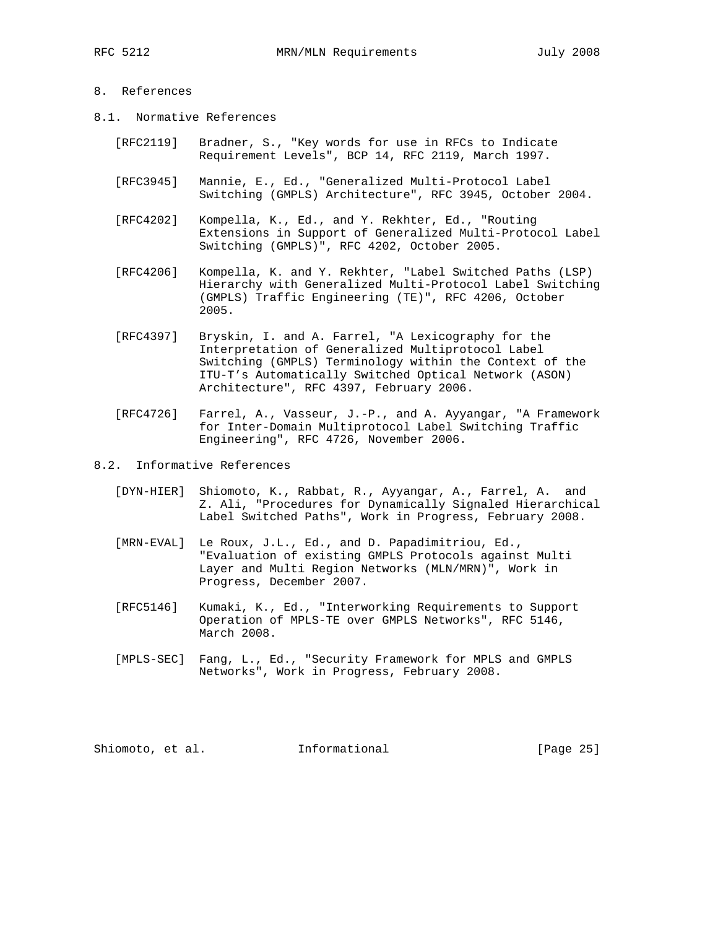# 8. References

- 8.1. Normative References
	- [RFC2119] Bradner, S., "Key words for use in RFCs to Indicate Requirement Levels", BCP 14, RFC 2119, March 1997.
	- [RFC3945] Mannie, E., Ed., "Generalized Multi-Protocol Label Switching (GMPLS) Architecture", RFC 3945, October 2004.
	- [RFC4202] Kompella, K., Ed., and Y. Rekhter, Ed., "Routing Extensions in Support of Generalized Multi-Protocol Label Switching (GMPLS)", RFC 4202, October 2005.
	- [RFC4206] Kompella, K. and Y. Rekhter, "Label Switched Paths (LSP) Hierarchy with Generalized Multi-Protocol Label Switching (GMPLS) Traffic Engineering (TE)", RFC 4206, October 2005.
	- [RFC4397] Bryskin, I. and A. Farrel, "A Lexicography for the Interpretation of Generalized Multiprotocol Label Switching (GMPLS) Terminology within the Context of the ITU-T's Automatically Switched Optical Network (ASON) Architecture", RFC 4397, February 2006.
	- [RFC4726] Farrel, A., Vasseur, J.-P., and A. Ayyangar, "A Framework for Inter-Domain Multiprotocol Label Switching Traffic Engineering", RFC 4726, November 2006.
- 8.2. Informative References
	- [DYN-HIER] Shiomoto, K., Rabbat, R., Ayyangar, A., Farrel, A. and Z. Ali, "Procedures for Dynamically Signaled Hierarchical Label Switched Paths", Work in Progress, February 2008.
	- [MRN-EVAL] Le Roux, J.L., Ed., and D. Papadimitriou, Ed., "Evaluation of existing GMPLS Protocols against Multi Layer and Multi Region Networks (MLN/MRN)", Work in Progress, December 2007.
	- [RFC5146] Kumaki, K., Ed., "Interworking Requirements to Support Operation of MPLS-TE over GMPLS Networks", RFC 5146, March 2008.
	- [MPLS-SEC] Fang, L., Ed., "Security Framework for MPLS and GMPLS Networks", Work in Progress, February 2008.

Shiomoto, et al. 1nformational [Page 25]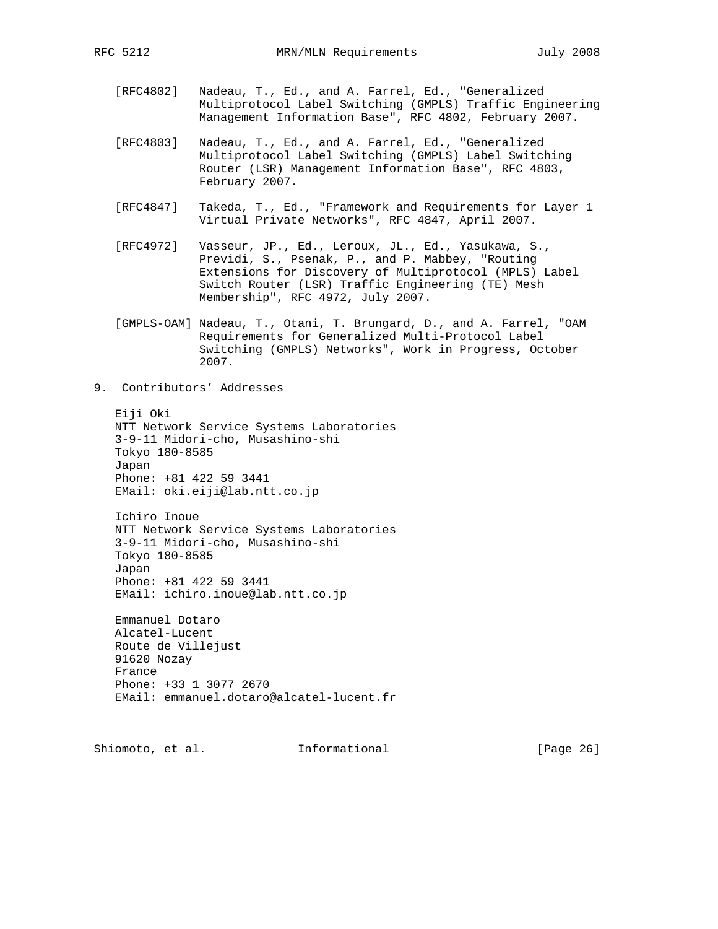- [RFC4802] Nadeau, T., Ed., and A. Farrel, Ed., "Generalized Multiprotocol Label Switching (GMPLS) Traffic Engineering Management Information Base", RFC 4802, February 2007.
- [RFC4803] Nadeau, T., Ed., and A. Farrel, Ed., "Generalized Multiprotocol Label Switching (GMPLS) Label Switching Router (LSR) Management Information Base", RFC 4803, February 2007.
- [RFC4847] Takeda, T., Ed., "Framework and Requirements for Layer 1 Virtual Private Networks", RFC 4847, April 2007.
- [RFC4972] Vasseur, JP., Ed., Leroux, JL., Ed., Yasukawa, S., Previdi, S., Psenak, P., and P. Mabbey, "Routing Extensions for Discovery of Multiprotocol (MPLS) Label Switch Router (LSR) Traffic Engineering (TE) Mesh Membership", RFC 4972, July 2007.
- [GMPLS-OAM] Nadeau, T., Otani, T. Brungard, D., and A. Farrel, "OAM Requirements for Generalized Multi-Protocol Label Switching (GMPLS) Networks", Work in Progress, October 2007.
- 9. Contributors' Addresses

 Eiji Oki NTT Network Service Systems Laboratories 3-9-11 Midori-cho, Musashino-shi Tokyo 180-8585 Japan Phone: +81 422 59 3441 EMail: oki.eiji@lab.ntt.co.jp

 Ichiro Inoue NTT Network Service Systems Laboratories 3-9-11 Midori-cho, Musashino-shi Tokyo 180-8585 Japan Phone: +81 422 59 3441 EMail: ichiro.inoue@lab.ntt.co.jp

 Emmanuel Dotaro Alcatel-Lucent Route de Villejust 91620 Nozay France Phone: +33 1 3077 2670 EMail: emmanuel.dotaro@alcatel-lucent.fr

Shiomoto, et al. **Informational** [Page 26]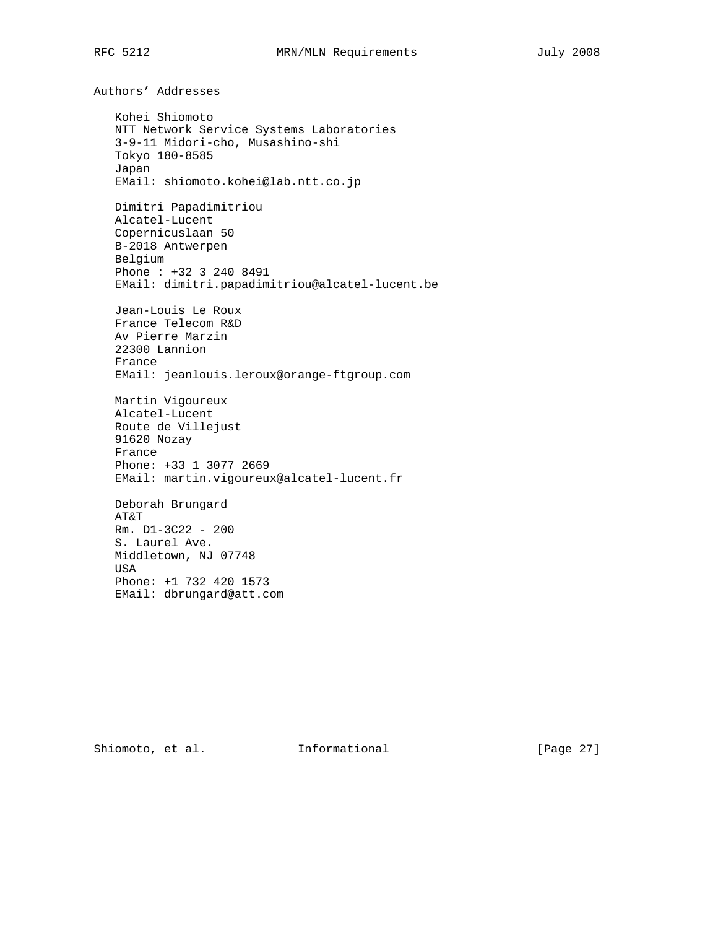Authors' Addresses Kohei Shiomoto NTT Network Service Systems Laboratories 3-9-11 Midori-cho, Musashino-shi Tokyo 180-8585 Japan EMail: shiomoto.kohei@lab.ntt.co.jp Dimitri Papadimitriou Alcatel-Lucent Copernicuslaan 50 B-2018 Antwerpen Belgium Phone : +32 3 240 8491 EMail: dimitri.papadimitriou@alcatel-lucent.be Jean-Louis Le Roux France Telecom R&D Av Pierre Marzin 22300 Lannion France EMail: jeanlouis.leroux@orange-ftgroup.com Martin Vigoureux Alcatel-Lucent Route de Villejust 91620 Nozay France Phone: +33 1 3077 2669 EMail: martin.vigoureux@alcatel-lucent.fr Deborah Brungard AT&T Rm. D1-3C22 - 200 S. Laurel Ave. Middletown, NJ 07748 USA Phone: +1 732 420 1573 EMail: dbrungard@att.com

Shiomoto, et al. 1nformational [Page 27]